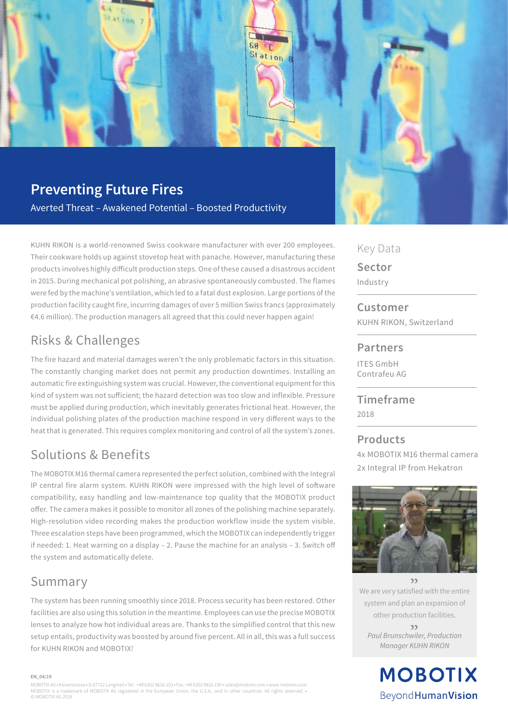

## **Preventing Future Fires**

5, 4

**Itation** 

Averted Threat – Awakened Potential – Boosted Productivity

KUHN RIKON is a world-renowned Swiss cookware manufacturer with over 200 employees. Their cookware holds up against stovetop heat with panache. However, manufacturing these products involves highly difficult production steps. One of these caused a disastrous accident in 2015. During mechanical pot polishing, an abrasive spontaneously combusted. The flames were fed by the machine's ventilation, which led to a fatal dust explosion. Large portions of the production facility caught fire, incurring damages of over 5 million Swiss francs (approximately €4.6 million). The production managers all agreed that this could never happen again!

## Risks & Challenges

The fire hazard and material damages weren't the only problematic factors in this situation. The constantly changing market does not permit any production downtimes. Installing an automatic fire extinguishing system was crucial. However, the conventional equipment for this kind of system was not sufficient; the hazard detection was too slow and inflexible. Pressure must be applied during production, which inevitably generates frictional heat. However, the individual polishing plates of the production machine respond in very different ways to the heat that is generated. This requires complex monitoring and control of all the system's zones.

## Solutions & Benefits

The MOBOTIX M16 thermal camera represented the perfect solution, combined with the Integral IP central fire alarm system. KUHN RIKON were impressed with the high level of software compatibility, easy handling and low-maintenance top quality that the MOBOTIX product offer. The camera makes it possible to monitor all zones of the polishing machine separately. High-resolution video recording makes the production workflow inside the system visible. Three escalation steps have been programmed, which the MOBOTIX can independently trigger if needed: 1. Heat warning on a display – 2. Pause the machine for an analysis – 3. Switch off the system and automatically delete.

### Summary

The system has been running smoothly since 2018. Process security has been restored. Other facilities are also using this solution in the meantime. Employees can use the precise MOBOTIX lenses to analyze how hot individual areas are. Thanks to the simplified control that this new setup entails, productivity was boosted by around five percent. All in all, this was a full success for KUHN RIKON and MOBOTIX!

#### Key Data

**Sector** Industry

**Customer** KUHN RIKON, Switzerland

#### **Partners**

ITES GmbH Contrafeu AG

#### **Timeframe** 2018

#### **Products**

4x MOBOTIX M16 thermal camera 2x Integral IP from Hekatron



 $\mathcal{L}$ We are very satisfied with the entire system and plan an expansion of other production facilities. "

*Paul Brunschwiler, Production Manager KUHN RIKON*

> **MOBOTIX** Beyond Human Vision

#### **EN\_04/19**

MOBOTIX AG • Kaiserstrasse • D-67722 Langmeil • Tel.: +49 6302 9816-103 • Fax: +49 6302 9816-190 • sales@mobotix.com • www.mobotix.com MOBOTIX is a trademark of MOBOTIX AG registered in the European Union, the U.S.A., and in other countries. All rights reserved. • © MOBOTIX AG 2019